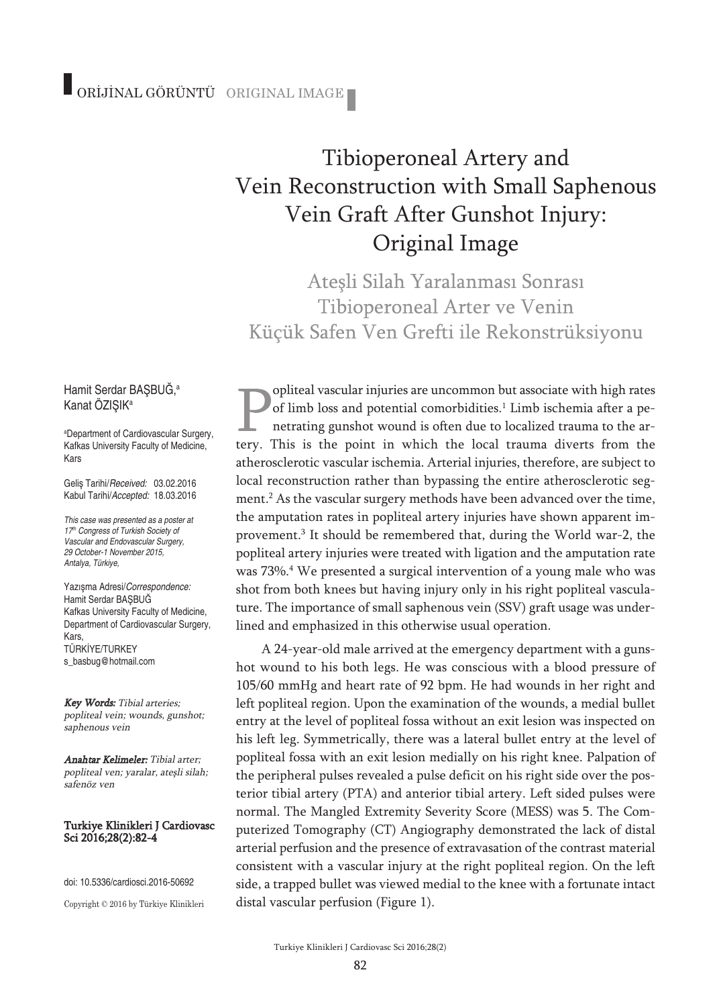## ORİJİNAL GÖRÜNTÜ ORIGINAL IMAGE

# Tibioperoneal Artery and Vein Reconstruction with Small Saphenous Vein Graft After Gunshot Injury: Original Image

Atesli Silah Yaralanması Sonrası Tibioperoneal Arter ve Venin Küçük Safen Ven Grefti ile Rekonstrüksiyonu

opliteal vascular injuries are uncommon but associate with high rates of limb loss and potential comorbidities. <sup>1</sup> Limb ischemia after a penetrating gunshot wound is often due to localized trauma to the artery. This is the point in which the local trauma diverts from the atherosclerotic vascular ischemia. Arterial injuries, therefore, are subject to local reconstruction rather than bypassing the entire atherosclerotic segment. <sup>2</sup> As the vascular surgery methods have been advanced over the time, the amputation rates in popliteal artery injuries have shown apparent improvement. <sup>3</sup> It should be remembered that, during the World war-2, the popliteal artery injuries were treated with ligation and the amputation rate was 73%. <sup>4</sup> We presented a surgical intervention of a young male who was shot from both knees but having injury only in his right popliteal vasculature. The importance of small saphenous vein (SSV) graft usage was underlined and emphasized in this otherwise usual operation.

A 24-year-old male arrived at the emergency department with a gunshot wound to his both legs. He was conscious with a blood pressure of 105/60 mmHg and heart rate of 92 bpm. He had wounds in her right and left popliteal region. Upon the examination of the wounds, a medial bullet entry at the level of popliteal fossa without an exit lesion was inspected on his left leg. Symmetrically, there was a lateral bullet entry at the level of popliteal fossa with an exit lesion medially on his right knee. Palpation of the peripheral pulses revealed a pulse deficit on his right side over the posterior tibial artery (PTA) and anterior tibial artery. Left sided pulses were normal. The Mangled Extremity Severity Score (MESS) was 5. The Computerized Tomography (CT) Angiography demonstrated the lack of distal arterial perfusion and the presence of extravasation of the contrast material consistent with a vascular injury at the right popliteal region. On the left side, a trapped bullet was viewed medial to the knee with a fortunate intact distal vascular perfusion (Figure 1).

#### Hamit Serdar BAŞBUĞ, a Kanat ÖZISIK<sup>a</sup>

a Department of Cardiovascular Surgery, Kafkas University Faculty of Medicine, Kars

Geliş Tarihi/*Received:* 03.02.2016 Kabul Tarihi/*Accepted:* 18.03.2016

*This case was presented as a poster at 17th Congress of Turkish Society of Vascular and Endovascular Surgery, 29 October-1 November 2015, Antalya, Türkiye,*

Yazışma Adresi/*Correspondence:* Hamit Serdar BAŞBUĞ Kafkas University Faculty of Medicine, Department of Cardiovascular Surgery, Kars, TÜRKİYE/TURKEY s\_basbug@hotmail.com

Key Words: Tibial arteries; popliteal vein; wounds, gunshot; saphenous vein

Anahtar Kelimeler: Tibial arter; popliteal ven; yaralar, ateşli silah; safenöz ven

#### Turkiye Klinikleri J Cardiovasc Sci 2016;28(2):82-4

doi: 10.5336/cardiosci.2016-50692

Copyright © 2016 by Türkiye Klinikleri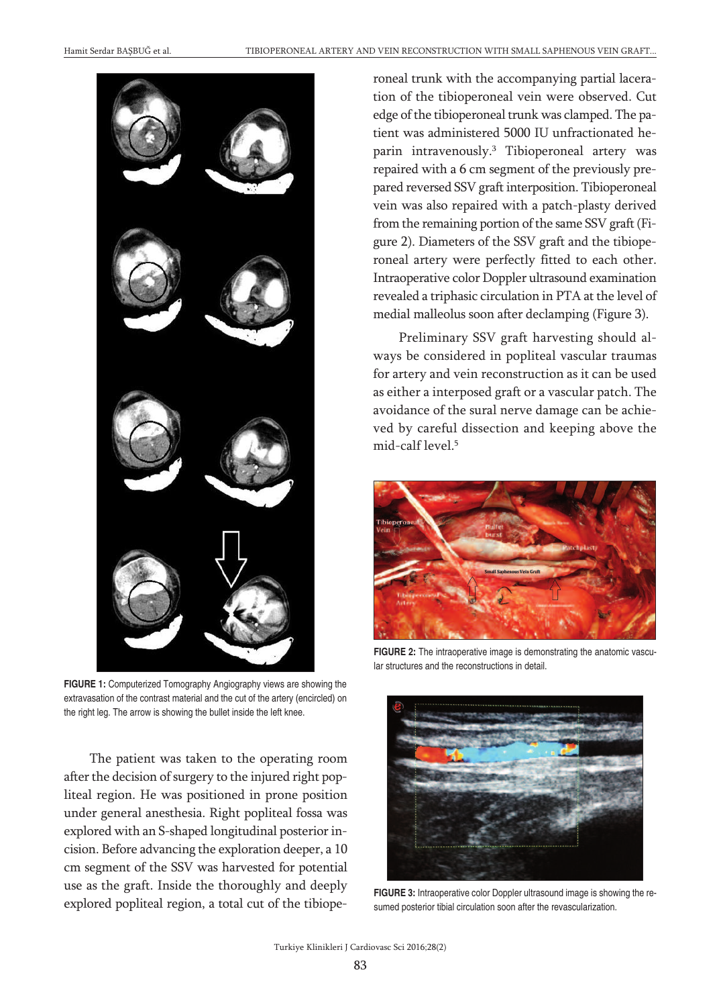

**FIGURE 1:** Computerized Tomography Angiography views are showing the extravasation of the contrast material and the cut of the artery (encircled) on the right leg. The arrow is showing the bullet inside the left knee.

The patient was taken to the operating room after the decision of surgery to the injured right popliteal region. He was positioned in prone position under general anesthesia. Right popliteal fossa was explored with an S-shaped longitudinal posterior incision. Before advancing the exploration deeper, a 10 cm segment of the SSV was harvested for potential use as the graft. Inside the thoroughly and deeply explored popliteal region, a total cut of the tibioperoneal trunk with the accompanying partial laceration of the tibioperoneal vein were observed. Cut edge of the tibioperoneal trunk was clamped. The patient was administered 5000 IU unfractionated heparin intravenously. <sup>3</sup> Tibioperoneal artery was repaired with a 6 cm segment of the previously prepared reversed SSV graft interposition. Tibioperoneal vein was also repaired with a patch-plasty derived from the remaining portion of the same SSV graft (Figure 2). Diameters of the SSV graft and the tibioperoneal artery were perfectly fitted to each other. Intraoperative color Doppler ultrasound examination revealed a triphasic circulation in PTA at the level of medial malleolus soon after declamping (Figure 3).

Preliminary SSV graft harvesting should always be considered in popliteal vascular traumas for artery and vein reconstruction as it can be used as either a interposed graft or a vascular patch. The avoidance of the sural nerve damage can be achieved by careful dissection and keeping above the mid-calf level. 5



**FIGURE 2:** The intraoperative image is demonstrating the anatomic vascular structures and the reconstructions in detail.



**FIGURE 3:** Intraoperative color Doppler ultrasound image is showing the resumed posterior tibial circulation soon after the revascularization.